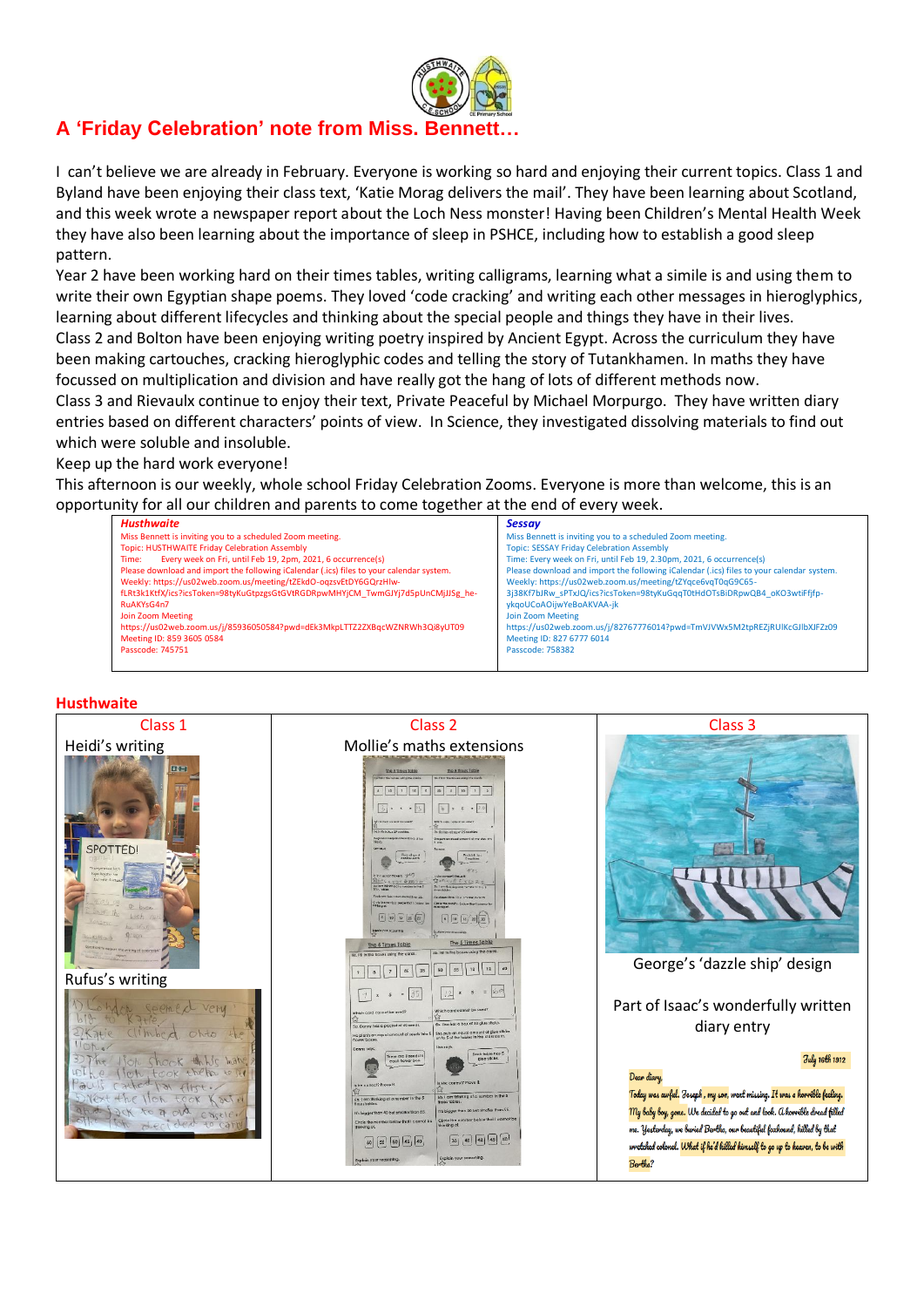

# **A 'Friday Celebration' note from Miss. Bennett…**

I can't believe we are already in February. Everyone is working so hard and enjoying their current topics. Class 1 and Byland have been enjoying their class text, 'Katie Morag delivers the mail'. They have been learning about Scotland, and this week wrote a newspaper report about the Loch Ness monster! Having been Children's Mental Health Week they have also been learning about the importance of sleep in PSHCE, including how to establish a good sleep pattern.

Year 2 have been working hard on their times tables, writing calligrams, learning what a simile is and using them to write their own Egyptian shape poems. They loved 'code cracking' and writing each other messages in hieroglyphics, learning about different lifecycles and thinking about the special people and things they have in their lives. Class 2 and Bolton have been enjoying writing poetry inspired by Ancient Egypt. Across the curriculum they have been making cartouches, cracking hieroglyphic codes and telling the story of Tutankhamen. In maths they have focussed on multiplication and division and have really got the hang of lots of different methods now.

Class 3 and Rievaulx continue to enjoy their text, Private Peaceful by Michael Morpurgo. They have written diary entries based on different characters' points of view. In Science, they investigated dissolving materials to find out which were soluble and insoluble.

## Keep up the hard work everyone!

This afternoon is our weekly, whole school Friday Celebration Zooms. Everyone is more than welcome, this is an opportunity for all our children and parents to come together at the end of every week.

| Husthwaite                                                                               | <b>Sessay</b>                                                                            |
|------------------------------------------------------------------------------------------|------------------------------------------------------------------------------------------|
| Miss Bennett is inviting you to a scheduled Zoom meeting.                                | Miss Bennett is inviting you to a scheduled Zoom meeting.                                |
| Topic: HUSTHWAITE Friday Celebration Assembly                                            | <b>Topic: SESSAY Friday Celebration Assembly</b>                                         |
| Every week on Fri, until Feb 19, 2pm, 2021, 6 occurrence(s)<br>Time:                     | Time: Every week on Fri, until Feb 19, 2.30pm, 2021, 6 occurrence(s)                     |
| Please download and import the following iCalendar (.ics) files to your calendar system. | Please download and import the following iCalendar (.ics) files to your calendar system. |
| Weekly: https://us02web.zoom.us/meeting/tZEkdO-oqzsvEtDY6GQrzHlw-                        | Weekly: https://us02web.zoom.us/meeting/tZYqce6vqT0qG9C65-                               |
| fLRt3k1KtfX/ics?icsToken=98tyKuGtpzgsGtGVtRGDRpwMHYjCM_TwmGJYj7d5pUnCMjJJSg_he-          | 3j38Kf7bJRw sPTxJQ/ics?icsToken=98tyKuGqqT0tHdOTsBiDRpwQB4 oKO3wtiFfifp-                 |
| RuAKYsG4n7                                                                               | ykgoUCoAOijwYeBoAKVAA-jk                                                                 |
| Join Zoom Meeting                                                                        | Join Zoom Meeting                                                                        |
| https://us02web.zoom.us/j/85936050584?pwd=dEk3MkpLTTZ2ZXBqcWZNRWh3Qi8yUT09               | https://us02web.zoom.us/j/82767776014?pwd=TmVJVWx5M2tpREZjRUlKcGJlbXJFZz09               |
| Meeting ID: 859 3605 0584                                                                | Meeting ID: 827 6777 6014                                                                |
| Passcode: 745751                                                                         | Passcode: 758382                                                                         |
|                                                                                          |                                                                                          |

## **Husthwaite**

| Class 1                                                                                                                                | Class <sub>2</sub>                                                                                                                                                                                                                                                                                                                                                                                                                                                                                                                                                                                                                                                                                                                                                                                                                                                                                                                                                                                                                         | Class 3                                                                                                                                                                                                                                                                                                                                                                                                                                               |
|----------------------------------------------------------------------------------------------------------------------------------------|--------------------------------------------------------------------------------------------------------------------------------------------------------------------------------------------------------------------------------------------------------------------------------------------------------------------------------------------------------------------------------------------------------------------------------------------------------------------------------------------------------------------------------------------------------------------------------------------------------------------------------------------------------------------------------------------------------------------------------------------------------------------------------------------------------------------------------------------------------------------------------------------------------------------------------------------------------------------------------------------------------------------------------------------|-------------------------------------------------------------------------------------------------------------------------------------------------------------------------------------------------------------------------------------------------------------------------------------------------------------------------------------------------------------------------------------------------------------------------------------------------------|
| Heidi's writing<br>国图<br>SPOTTED!<br>exercements for<br><b>MAT Menshar Fax</b><br><b>Under Seat</b><br>report the writing of a newerig | Mollie's maths extensions<br><b>The 5 limes Toble</b><br>The 5 Things Table<br>To, Filip the bound wing the card<br>Tel 7.1 to the homes sales the cost<br>22<br>2   10<br>12<br>10<br>$ $ is<br>$31.5 - 15$<br>$ x $ x x = 1.0<br>We are our carried by weath<br><b>MADA CARD CARD AT AN ARM</b><br>So 5-th bolog 20 cockies<br>26 finites at applicit is monthly<br>No gives on aqual credit (3) 5 of log-<br>and of marriers is<br>Boy of your<br>Richlit his<br><b>COMMITMENT YES</b><br>REAL AVS & KEJO<br>白かい水子×5-25<br>by lamita-M-g clic needed in the<br>Tem Situaça ele numero tritre S<br>22<br>$\begin{array}{ c c c c c } \hline s&110&120&20&20 \\ \hline \end{array}$<br>typich you realizing<br><b>Building over proposaling</b><br>The 5 Times Table<br>The 5 Times Table<br>4b. fill in the boxes using the cord<br>4g. Fil in the boxes using me cords.                                                                                                                                                                 | 传写                                                                                                                                                                                                                                                                                                                                                                                                                                                    |
| Rufus's writing<br>Ohto<br>$K$ and $Pl$<br>$C$ $O(E E)$<br>ded to carry                                                                | 12 40<br>10<br>55<br>45<br>50<br>$\overline{z}$<br>35<br>$\mathbf{8}$<br>$= 60$<br>135<br>12<br>$\mathbf{s}$<br>$\mathcal{S}$<br>$\sim$<br>Nich card cannal be used<br>Which card cannot be used?<br>Sh. Lien has a box of 30 glue sticks<br>Sa. Danny has a packet of 40 seeds.<br>aval amount of give sticks<br>He plants an equal amount of seeds<br>on to 5 of the tables in the class<br><b>Bower boxes</b><br>Downy ages<br>Each table has \$<br>there are it seeds in<br>glue sticks.<br>each haver box.<br>Is she conect? Prove it<br>Is he conoct? Prove it<br>$\mathcal{L}$<br>4b. I am thinking of a sumber in the 5<br>66. I am thinking of a number in the 5<br><b>Envoy tables</b><br>Henna Mitting<br>It's bigger than 30 but smaller than 55.<br>It's bigger than 40 but smaller than 65.<br>Circle the number below that I cannot be<br>Circle the number below that I cannot be<br>kinking or<br>35 40 42 46 50<br>$55 \n\boxed{50} \n\boxed{45} \n\boxed{40}$<br>60<br>Exploin your reasoning<br>Exploin your redsoning | George's 'dazzle ship' design<br>Part of Isaac's wonderfully written<br>diary entry<br>July 16th 1912<br>Dear diary,<br>Today was awful. Toseph , my son, went missing. It was a horvible feeling.<br>My baby boy, gone. We decided to go out and look. a horvible dread filled<br>me. Yesterday, we buried Bertha, our beautiful foxhound, killed by that<br>wretched colonel. What if he'd killed himself to go up to heaven, to be with<br>Bertha? |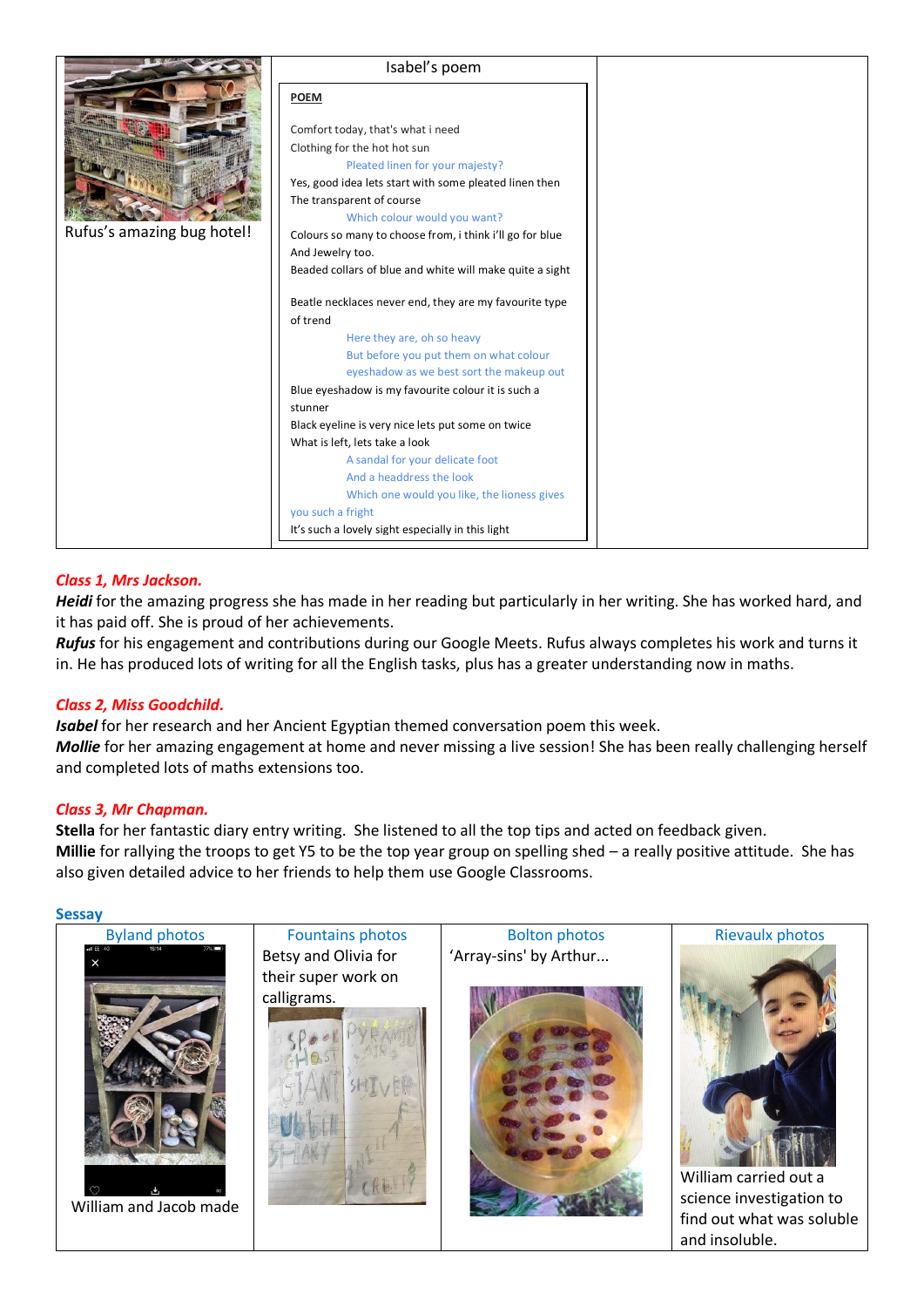|                            | Isabel's poem                                            |  |
|----------------------------|----------------------------------------------------------|--|
|                            | <b>POEM</b>                                              |  |
|                            | Comfort today, that's what i need                        |  |
|                            | Clothing for the hot hot sun                             |  |
|                            | Pleated linen for your majesty?                          |  |
|                            | Yes, good idea lets start with some pleated linen then   |  |
|                            | The transparent of course                                |  |
|                            | Which colour would you want?                             |  |
| Rufus's amazing bug hotel! | Colours so many to choose from, i think i'll go for blue |  |
|                            | And Jewelry too.                                         |  |
|                            | Beaded collars of blue and white will make quite a sight |  |
|                            |                                                          |  |
|                            | Beatle necklaces never end, they are my favourite type   |  |
|                            | of trend                                                 |  |
|                            | Here they are, oh so heavy                               |  |
|                            | But before you put them on what colour                   |  |
|                            | eyeshadow as we best sort the makeup out                 |  |
|                            | Blue eyeshadow is my favourite colour it is such a       |  |
|                            | stunner                                                  |  |
|                            | Black eyeline is very nice lets put some on twice        |  |
|                            | What is left, lets take a look                           |  |
|                            | A sandal for your delicate foot                          |  |
|                            | And a headdress the look                                 |  |
|                            | Which one would you like, the lioness gives              |  |
|                            | you such a fright                                        |  |
|                            | It's such a lovely sight especially in this light        |  |

# *Class 1, Mrs Jackson.*

*Heidi* for the amazing progress she has made in her reading but particularly in her writing. She has worked hard, and it has paid off. She is proud of her achievements.

*Rufus* for his engagement and contributions during our Google Meets. Rufus always completes his work and turns it in. He has produced lots of writing for all the English tasks, plus has a greater understanding now in maths.

## *Class 2, Miss Goodchild.*

*Isabel* for her research and her Ancient Egyptian themed conversation poem this week. *Mollie* for her amazing engagement at home and never missing a live session! She has been really challenging herself and completed lots of maths extensions too.

## *Class 3, Mr Chapman.*

**Stella** for her fantastic diary entry writing. She listened to all the top tips and acted on feedback given. **Millie** for rallying the troops to get Y5 to be the top year group on spelling shed – a really positive attitude. She has also given detailed advice to her friends to help them use Google Classrooms.

#### **Sessay**